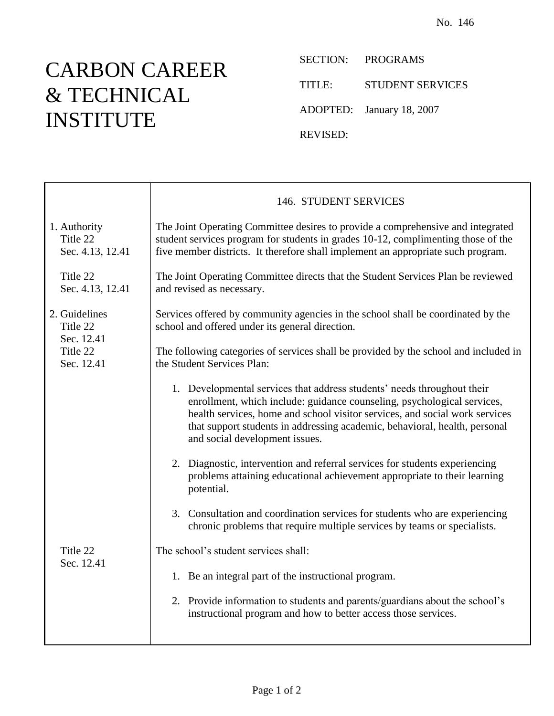## CARBON CAREER & TECHNICAL INSTITUTE

T

SECTION: PROGRAMS TITLE: STUDENT SERVICES ADOPTED: January 18, 2007

REVISED:

|                                                                   | 146. STUDENT SERVICES                                                                                                                                                                                                                                                                                                                             |
|-------------------------------------------------------------------|---------------------------------------------------------------------------------------------------------------------------------------------------------------------------------------------------------------------------------------------------------------------------------------------------------------------------------------------------|
| 1. Authority<br>Title 22<br>Sec. 4.13, 12.41                      | The Joint Operating Committee desires to provide a comprehensive and integrated<br>student services program for students in grades 10-12, complimenting those of the<br>five member districts. It therefore shall implement an appropriate such program.                                                                                          |
| Title 22<br>Sec. 4.13, 12.41                                      | The Joint Operating Committee directs that the Student Services Plan be reviewed<br>and revised as necessary.                                                                                                                                                                                                                                     |
| 2. Guidelines<br>Title 22<br>Sec. 12.41<br>Title 22<br>Sec. 12.41 | Services offered by community agencies in the school shall be coordinated by the<br>school and offered under its general direction.                                                                                                                                                                                                               |
|                                                                   | The following categories of services shall be provided by the school and included in<br>the Student Services Plan:                                                                                                                                                                                                                                |
|                                                                   | 1. Developmental services that address students' needs throughout their<br>enrollment, which include: guidance counseling, psychological services,<br>health services, home and school visitor services, and social work services<br>that support students in addressing academic, behavioral, health, personal<br>and social development issues. |
|                                                                   | 2. Diagnostic, intervention and referral services for students experiencing<br>problems attaining educational achievement appropriate to their learning<br>potential.                                                                                                                                                                             |
|                                                                   | 3. Consultation and coordination services for students who are experiencing<br>chronic problems that require multiple services by teams or specialists.                                                                                                                                                                                           |
| Title 22<br>Sec. 12.41                                            | The school's student services shall:                                                                                                                                                                                                                                                                                                              |
|                                                                   | 1. Be an integral part of the instructional program.                                                                                                                                                                                                                                                                                              |
|                                                                   | 2. Provide information to students and parents/guardians about the school's<br>instructional program and how to better access those services.                                                                                                                                                                                                     |
|                                                                   |                                                                                                                                                                                                                                                                                                                                                   |